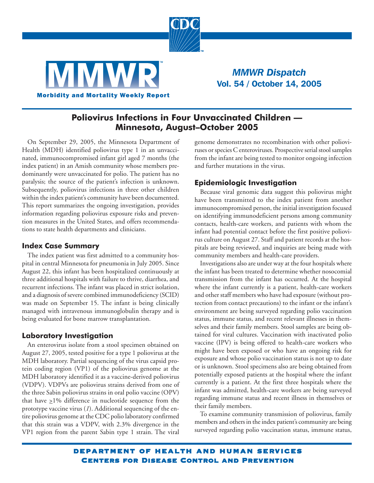



# *MMWR Dispatch* **Vol. 54 / October 14, 2005**

## **Poliovirus Infections in Four Unvaccinated Children — Minnesota, August–October 2005**

On September 29, 2005, the Minnesota Department of Health (MDH) identified poliovirus type 1 in an unvaccinated, immunocompromised infant girl aged 7 months (the index patient) in an Amish community whose members predominantly were unvaccinated for polio. The patient has no paralysis; the source of the patient's infection is unknown. Subsequently, poliovirus infections in three other children within the index patient's community have been documented. This report summarizes the ongoing investigation, provides information regarding poliovirus exposure risks and prevention measures in the United States, and offers recommendations to state health departments and clinicians.

### **Index Case Summary**

The index patient was first admitted to a community hospital in central Minnesota for pneumonia in July 2005. Since August 22, this infant has been hospitalized continuously at three additional hospitals with failure to thrive, diarrhea, and recurrent infections. The infant was placed in strict isolation, and a diagnosis of severe combined immunodeficiency (SCID) was made on September 15. The infant is being clinically managed with intravenous immunoglobulin therapy and is being evaluated for bone marrow transplantation.

### **Laboratory Investigation**

An enterovirus isolate from a stool specimen obtained on August 27, 2005, tested positive for a type 1 poliovirus at the MDH laboratory. Partial sequencing of the virus capsid protein coding region (VP1) of the poliovirus genome at the MDH laboratory identified it as a vaccine-derived poliovirus (VDPV). VDPVs are poliovirus strains derived from one of the three Sabin poliovirus strains in oral polio vaccine (OPV) that have  $\geq$ 1% difference in nucleotide sequence from the prototype vaccine virus (*1*). Additional sequencing of the entire poliovirus genome at the CDC polio laboratory confirmed that this strain was a VDPV, with 2.3% divergence in the VP1 region from the parent Sabin type 1 strain. The viral

genome demonstrates no recombination with other polioviruses or species C enteroviruses. Prospective serial stool samples from the infant are being tested to monitor ongoing infection and further mutations in the virus.

### **Epidemiologic Investigation**

Because viral genomic data suggest this poliovirus might have been transmitted to the index patient from another immunocompromised person, the initial investigation focused on identifying immunodeficient persons among community contacts, health-care workers, and patients with whom the infant had potential contact before the first positive poliovirus culture on August 27. Staff and patient records at the hospitals are being reviewed, and inquiries are being made with community members and health-care providers.

Investigations also are under way at the four hospitals where the infant has been treated to determine whether nosocomial transmission from the infant has occurred. At the hospital where the infant currently is a patient, health-care workers and other staff members who have had exposure (without protection from contact precautions) to the infant or the infant's environment are being surveyed regarding polio vaccination status, immune status, and recent relevant illnesses in themselves and their family members. Stool samples are being obtained for viral cultures. Vaccination with inactivated polio vaccine (IPV) is being offered to health-care workers who might have been exposed or who have an ongoing risk for exposure and whose polio vaccination status is not up to date or is unknown. Stool specimens also are being obtained from potentially exposed patients at the hospital where the infant currently is a patient. At the first three hospitals where the infant was admitted, health-care workers are being surveyed regarding immune status and recent illness in themselves or their family members.

To examine community transmission of poliovirus, family members and others in the index patient's community are being surveyed regarding polio vaccination status, immune status,

department of health and human services Centers for Disease Control and Prevention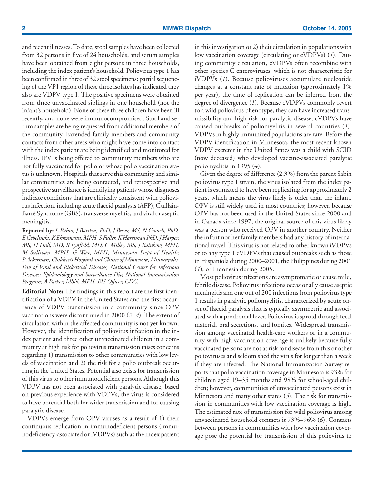and recent illnesses. To date, stool samples have been collected from 32 persons in five of 24 households, and serum samples have been obtained from eight persons in three households, including the index patient's household. Poliovirus type 1 has been confirmed in three of 32 stool specimens; partial sequencing of the VP1 region of these three isolates has indicated they also are VDPV type 1. The positive specimens were obtained from three unvaccinated siblings in one household (not the infant's household). None of these three children have been ill recently, and none were immunocompromised. Stool and serum samples are being requested from additional members of the community. Extended family members and community contacts from other areas who might have come into contact with the index patient are being identified and monitored for illness. IPV is being offered to community members who are not fully vaccinated for polio or whose polio vaccination status is unknown. Hospitals that serve this community and similar communities are being contacted, and retrospective and prospective surveillance is identifying patients whose diagnoses indicate conditions that are clinically consistent with poliovirus infection, including acute flaccid paralysis (AFP), Guillain-Barré Syndrome (GBS), transverse myelitis, and viral or aseptic meningitis.

**Reported by:** *L Bahta, J Bartkus, PhD, J Besser, MS, N Crouch, PhD, E Cebelinski, K Ehresmann, MPH, S Fuller, K Harriman PhD, J Harper, MS, H Hull, MD, R Lynfield, MD, C Miller, MS, J Rainbow, MPH, M Sullivan, MPH, G Wax, MPH, Minnesota Dept of Health; P Ackerman, Children's Hospital and Clinics of Minnesota, Minneapolis. Div of Viral and Rickettsial Diseases, National Center for Infectious Diseases; Epidemiology and Surveillance Div, National Immunization Program; A Parker, MSN, MPH, EIS Officer, CDC.*

**Editorial Note:** The findings in this report are the first identification of a VDPV in the United States and the first occurrence of VDPV transmission in a community since OPV vaccinations were discontinued in 2000 (*2–4*). The extent of circulation within the affected community is not yet known. However, the identification of poliovirus infection in the index patient and three other unvaccinated children in a community at high risk for poliovirus transmission raises concerns regarding 1) transmission to other communities with low levels of vaccination and 2) the risk for a polio outbreak occurring in the United States. Potential also exists for transmission of this virus to other immunodeficient persons. Although this VDPV has not been associated with paralytic disease, based on previous experience with VDPVs, the virus is considered to have potential both for wider transmission and for causing paralytic disease.

VDPVs emerge from OPV viruses as a result of 1) their continuous replication in immunodeficient persons (immunodeficiency-associated or iVDPVs) such as the index patient in this investigation or 2) their circulation in populations with low vaccination coverage (circulating or cVDPVs) (*1*). During community circulation, cVDPVs often recombine with other species C enteroviruses, which is not characteristic for iVDPVs (*1*). Because polioviruses accumulate nucleotide changes at a constant rate of mutation (approximately 1% per year), the time of replication can be inferred from the degree of divergence (*1*). Because cVDPVs commonly revert to a wild poliovirus phenotype, they can have increased transmissibility and high risk for paralytic disease; cVDPVs have caused outbreaks of poliomyelitis in several countries (*1*). VDPVs in highly immunized populations are rare. Before the VDPV identification in Minnesota, the most recent known VDPV excreter in the United States was a child with SCID (now deceased) who developed vaccine-associated paralytic poliomyelitis in 1995 (*4*).

Given the degree of difference (2.3%) from the parent Sabin poliovirus type 1 strain, the virus isolated from the index patient is estimated to have been replicating for approximately 2 years, which means the virus likely is older than the infant. OPV is still widely used in most countries; however, because OPV has not been used in the United States since 2000 and in Canada since 1997, the original source of this virus likely was a person who received OPV in another country. Neither the infant nor her family members had any history of international travel. This virus is not related to other known iVDPVs or to any type 1 cVDPVs that caused outbreaks such as those in Hispaniola during 2000–2001, the Philippines during 2001 (*1*), or Indonesia during 2005.

Most poliovirus infections are asymptomatic or cause mild, febrile disease. Poliovirus infections occasionally cause aseptic meningitis and one out of 200 infections from poliovirus type 1 results in paralytic poliomyelitis, characterized by acute onset of flaccid paralysis that is typically asymmetric and associated with a prodromal fever. Poliovirus is spread through fecal material, oral secretions, and fomites. Widespread transmission among vaccinated health-care workers or in a community with high vaccination coverage is unlikely because fully vaccinated persons are not at risk for disease from this or other polioviruses and seldom shed the virus for longer than a week if they are infected. The National Immunization Survey reports that polio vaccination coverage in Minnesota is 93% for children aged 19–35 months and 98% for school-aged children; however, communities of unvaccinated persons exist in Minnesota and many other states (*5*). The risk for transmission in communities with low vaccination coverage is high. The estimated rate of transmission for wild poliovirus among unvaccinated household contacts is 73%–96% (*6*). Contacts between persons in communities with low vaccination coverage pose the potential for transmission of this poliovirus to